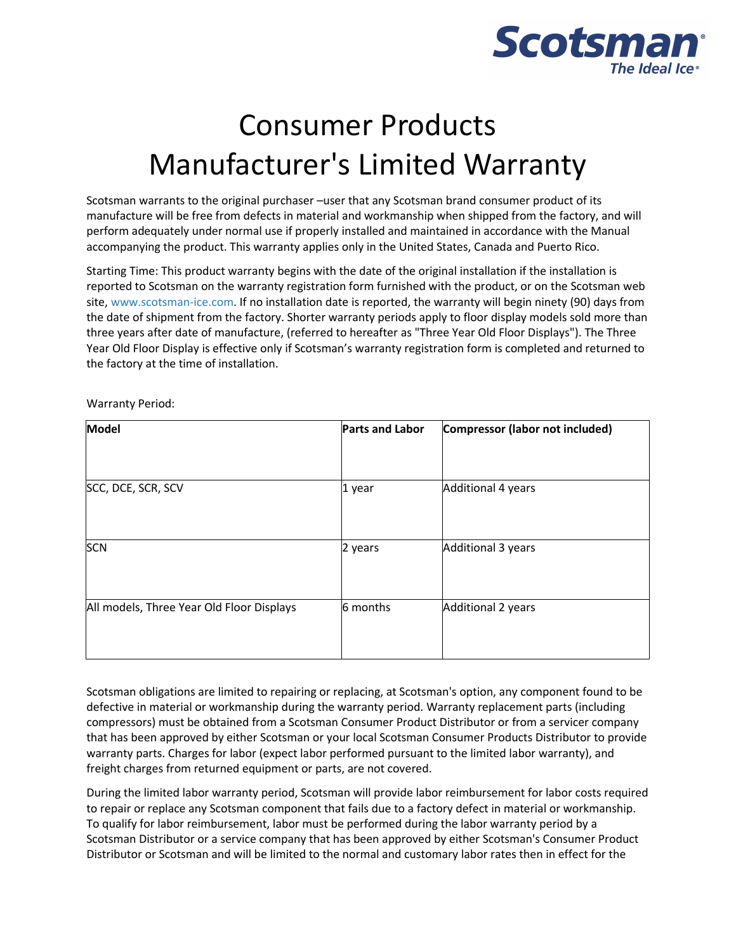

## Consumer Products Manufacturer's Limited Warranty

Scotsman warrants to the original purchaser –user that any Scotsman brand consumer product of its manufacture will be free from defects in material and workmanship when shipped from the factory, and will perform adequately under normal use if properly installed and maintained in accordance with the Manual accompanying the product. This warranty applies only in the United States, Canada and Puerto Rico.

Starting Time: This product warranty begins with the date of the original installation if the installation is reported to Scotsman on the warranty registration form furnished with the product, or on the Scotsman web site, [www.scotsman-ice.com.](https://www.scotsman-ice.com/) If no installation date is reported, the warranty will begin ninety (90) days from the date of shipment from the factory. Shorter warranty periods apply to floor display models sold more than three years after date of manufacture, (referred to hereafter as "Three Year Old Floor Displays"). The Three Year Old Floor Display is effective only if Scotsman's warranty registration form is completed and returned to the factory at the time of installation.

Warranty Period:

| Model                                     | <b>Parts and Labor</b> | Compressor (labor not included) |
|-------------------------------------------|------------------------|---------------------------------|
| SCC, DCE, SCR, SCV                        | 1 year                 | Additional 4 years              |
| <b>SCN</b>                                | 2 years                | Additional 3 years              |
| All models, Three Year Old Floor Displays | 6 months               | Additional 2 years              |

Scotsman obligations are limited to repairing or replacing, at Scotsman's option, any component found to be defective in material or workmanship during the warranty period. Warranty replacement parts (including compressors) must be obtained from a Scotsman Consumer Product Distributor or from a servicer company that has been approved by either Scotsman or your local Scotsman Consumer Products Distributor to provide warranty parts. Charges for labor (expect labor performed pursuant to the limited labor warranty), and freight charges from returned equipment or parts, are not covered.

During the limited labor warranty period, Scotsman will provide labor reimbursement for labor costs required to repair or replace any Scotsman component that fails due to a factory defect in material or workmanship. To qualify for labor reimbursement, labor must be performed during the labor warranty period by a Scotsman Distributor or a service company that has been approved by either Scotsman's Consumer Product Distributor or Scotsman and will be limited to the normal and customary labor rates then in effect for the